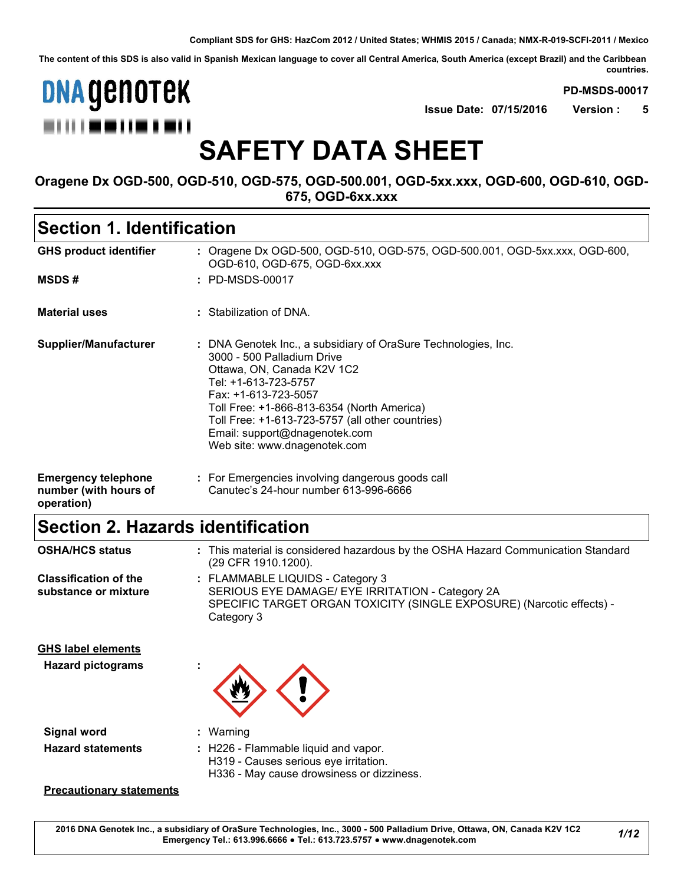**The content of this SDS is also valid in Spanish Mexican language to cover all Central America, South America (except Brazil) and the Caribbean countries.**



**PD-MSDS-00017**

**Issue Date: 07/15/2016 Version : 5**

# **SAFETY DATA SHEET**

**Oragene Dx OGD-500, OGD-510, OGD-575, OGD-500.001, OGD-5xx.xxx, OGD-600, OGD-610, OGD-675, OGD-6xx.xxx**

### **Section 1. Identification**

| <b>GHS product identifier</b>                                     | : Oragene Dx OGD-500, OGD-510, OGD-575, OGD-500.001, OGD-5xx.xxx, OGD-600,<br>OGD-610, OGD-675, OGD-6xx.xxx                                                                                                                                                                                                                                   |
|-------------------------------------------------------------------|-----------------------------------------------------------------------------------------------------------------------------------------------------------------------------------------------------------------------------------------------------------------------------------------------------------------------------------------------|
| <b>MSDS#</b>                                                      | : PD-MSDS-00017                                                                                                                                                                                                                                                                                                                               |
| <b>Material uses</b>                                              | : Stabilization of DNA.                                                                                                                                                                                                                                                                                                                       |
| Supplier/Manufacturer                                             | : DNA Genotek Inc., a subsidiary of OraSure Technologies, Inc.<br>3000 - 500 Palladium Drive<br>Ottawa, ON, Canada K2V 1C2<br>Tel: +1-613-723-5757<br>Fax: +1-613-723-5057<br>Toll Free: +1-866-813-6354 (North America)<br>Toll Free: +1-613-723-5757 (all other countries)<br>Email: support@dnagenotek.com<br>Web site: www.dnagenotek.com |
| <b>Emergency telephone</b><br>number (with hours of<br>operation) | : For Emergencies involving dangerous goods call<br>Canutec's 24-hour number 613-996-6666                                                                                                                                                                                                                                                     |

# **Section 2. Hazards identification**

| <b>OSHA/HCS status</b>                                | : This material is considered hazardous by the OSHA Hazard Communication Standard<br>(29 CFR 1910.1200).                                                                    |
|-------------------------------------------------------|-----------------------------------------------------------------------------------------------------------------------------------------------------------------------------|
| <b>Classification of the</b><br>substance or mixture  | : FLAMMABLE LIQUIDS - Category 3<br>SERIOUS EYE DAMAGE/ EYE IRRITATION - Category 2A<br>SPECIFIC TARGET ORGAN TOXICITY (SINGLE EXPOSURE) (Narcotic effects) -<br>Category 3 |
| <b>GHS label elements</b><br><b>Hazard pictograms</b> |                                                                                                                                                                             |
| Signal word                                           | : Warning                                                                                                                                                                   |
| <b>Hazard statements</b>                              | : H226 - Flammable liquid and vapor.<br>H319 - Causes serious eye irritation.<br>H336 - May cause drowsiness or dizziness.                                                  |

#### **Precautionary statements**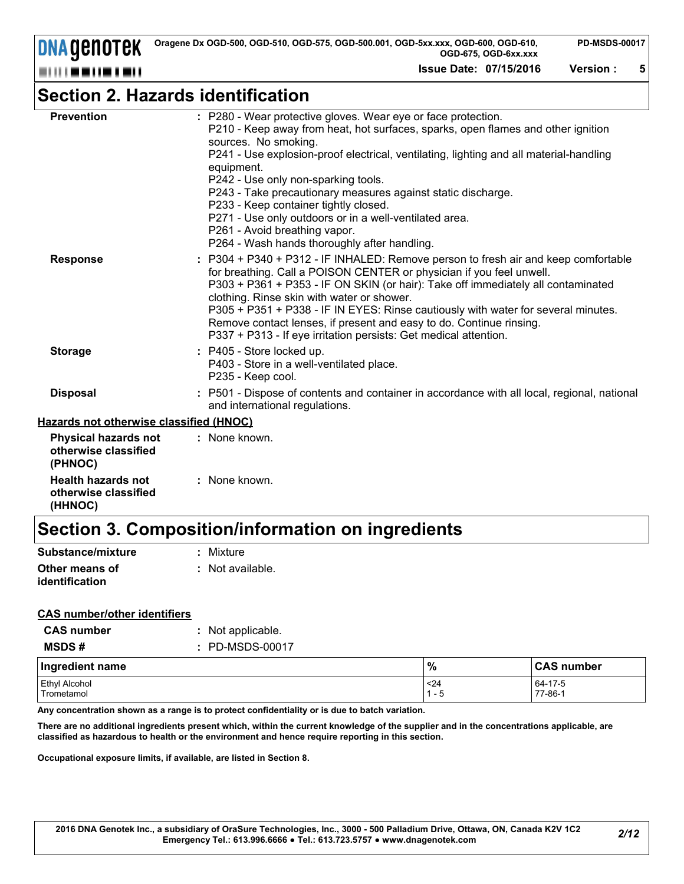**DNA GENOTEK** ---------

**Issue Date: 07/15/2016 Version : 5**

# **Section 2. Hazards identification**

| <b>Prevention</b>                                              | : P280 - Wear protective gloves. Wear eye or face protection.<br>P210 - Keep away from heat, hot surfaces, sparks, open flames and other ignition<br>sources. No smoking.<br>P241 - Use explosion-proof electrical, ventilating, lighting and all material-handling<br>equipment.<br>P242 - Use only non-sparking tools.<br>P243 - Take precautionary measures against static discharge.<br>P233 - Keep container tightly closed.<br>P271 - Use only outdoors or in a well-ventilated area.<br>P261 - Avoid breathing vapor.<br>P264 - Wash hands thoroughly after handling. |
|----------------------------------------------------------------|------------------------------------------------------------------------------------------------------------------------------------------------------------------------------------------------------------------------------------------------------------------------------------------------------------------------------------------------------------------------------------------------------------------------------------------------------------------------------------------------------------------------------------------------------------------------------|
| <b>Response</b>                                                | P304 + P340 + P312 - IF INHALED: Remove person to fresh air and keep comfortable<br>for breathing. Call a POISON CENTER or physician if you feel unwell.<br>P303 + P361 + P353 - IF ON SKIN (or hair): Take off immediately all contaminated<br>clothing. Rinse skin with water or shower.<br>P305 + P351 + P338 - IF IN EYES: Rinse cautiously with water for several minutes.<br>Remove contact lenses, if present and easy to do. Continue rinsing.<br>P337 + P313 - If eye irritation persists: Get medical attention.                                                   |
| <b>Storage</b>                                                 | : P405 - Store locked up.<br>P403 - Store in a well-ventilated place.<br>P235 - Keep cool.                                                                                                                                                                                                                                                                                                                                                                                                                                                                                   |
| <b>Disposal</b>                                                | : P501 - Dispose of contents and container in accordance with all local, regional, national<br>and international regulations.                                                                                                                                                                                                                                                                                                                                                                                                                                                |
| Hazards not otherwise classified (HNOC)                        |                                                                                                                                                                                                                                                                                                                                                                                                                                                                                                                                                                              |
| <b>Physical hazards not</b><br>otherwise classified<br>(PHNOC) | : None known.                                                                                                                                                                                                                                                                                                                                                                                                                                                                                                                                                                |
| <b>Health hazards not</b>                                      | : None known.                                                                                                                                                                                                                                                                                                                                                                                                                                                                                                                                                                |

# **Section 3. Composition/information on ingredients**

| Substance/mixture                | : Mixture        |
|----------------------------------|------------------|
| Other means of<br>identification | : Not available. |

#### **CAS number/other identifiers**

**otherwise classified** 

**(HHNOC)**

| <b>CAS number</b> | : Not applicable. |
|-------------------|-------------------|
| <b>MSDS#</b>      | : PD-MSDS-00017   |

| Ingredient name      | $\frac{0}{0}$ | <b>CAS number</b> |
|----------------------|---------------|-------------------|
| <b>Ethyl Alcohol</b> | $24$          | 64-17-5           |
| Trometamol           | - 5           | 77-86-1           |

**Any concentration shown as a range is to protect confidentiality or is due to batch variation.**

**There are no additional ingredients present which, within the current knowledge of the supplier and in the concentrations applicable, are classified as hazardous to health or the environment and hence require reporting in this section.**

**Occupational exposure limits, if available, are listed in Section 8.**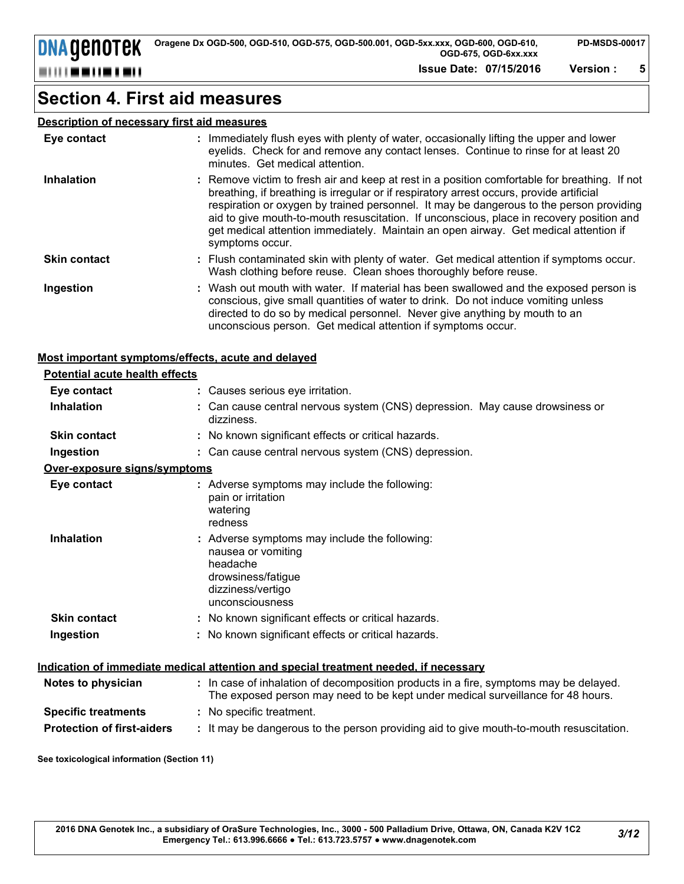**Issue Date: 07/15/2016 Version : 5**

### **Section 4. First aid measures**

#### **Description of necessary first aid measures**

| Eye contact         | : Immediately flush eyes with plenty of water, occasionally lifting the upper and lower<br>eyelids. Check for and remove any contact lenses. Continue to rinse for at least 20<br>minutes. Get medical attention.                                                                                                                                                                                                                                                                           |
|---------------------|---------------------------------------------------------------------------------------------------------------------------------------------------------------------------------------------------------------------------------------------------------------------------------------------------------------------------------------------------------------------------------------------------------------------------------------------------------------------------------------------|
| <b>Inhalation</b>   | : Remove victim to fresh air and keep at rest in a position comfortable for breathing. If not<br>breathing, if breathing is irregular or if respiratory arrest occurs, provide artificial<br>respiration or oxygen by trained personnel. It may be dangerous to the person providing<br>aid to give mouth-to-mouth resuscitation. If unconscious, place in recovery position and<br>get medical attention immediately. Maintain an open airway. Get medical attention if<br>symptoms occur. |
| <b>Skin contact</b> | : Flush contaminated skin with plenty of water. Get medical attention if symptoms occur.<br>Wash clothing before reuse. Clean shoes thoroughly before reuse.                                                                                                                                                                                                                                                                                                                                |
| Ingestion           | : Wash out mouth with water. If material has been swallowed and the exposed person is<br>conscious, give small quantities of water to drink. Do not induce vomiting unless<br>directed to do so by medical personnel. Never give anything by mouth to an<br>unconscious person. Get medical attention if symptoms occur.                                                                                                                                                                    |

#### **Most important symptoms/effects, acute and delayed**

| <b>Potential acute health effects</b> |                                                                                                                                                                          |
|---------------------------------------|--------------------------------------------------------------------------------------------------------------------------------------------------------------------------|
| Eye contact                           | : Causes serious eye irritation.                                                                                                                                         |
| <b>Inhalation</b>                     | : Can cause central nervous system (CNS) depression. May cause drowsiness or<br>dizziness.                                                                               |
| <b>Skin contact</b>                   | : No known significant effects or critical hazards.                                                                                                                      |
| Ingestion                             | : Can cause central nervous system (CNS) depression.                                                                                                                     |
| Over-exposure signs/symptoms          |                                                                                                                                                                          |
| Eye contact                           | : Adverse symptoms may include the following:<br>pain or irritation<br>watering<br>redness                                                                               |
| <b>Inhalation</b>                     | : Adverse symptoms may include the following:<br>nausea or vomiting<br>headache<br>drowsiness/fatigue<br>dizziness/vertigo<br>unconsciousness                            |
| <b>Skin contact</b>                   | : No known significant effects or critical hazards.                                                                                                                      |
| Ingestion                             | : No known significant effects or critical hazards.                                                                                                                      |
|                                       | Indication of immediate medical attention and special treatment needed, if necessary                                                                                     |
| Notes to physician                    | : In case of inhalation of decomposition products in a fire, symptoms may be delayed.<br>The exposed person may need to be kept under medical surveillance for 48 hours. |
| <b>Specific treatments</b>            | : No specific treatment.                                                                                                                                                 |
| <b>Protection of first-aiders</b>     | : It may be dangerous to the person providing aid to give mouth-to-mouth resuscitation.                                                                                  |

**See toxicological information (Section 11)**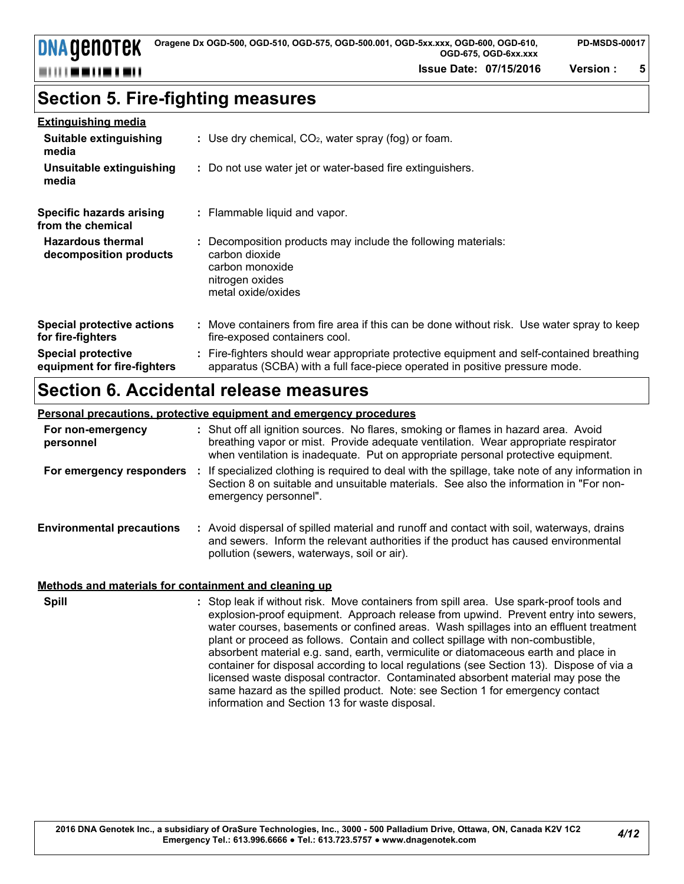**Issue Date: 07/15/2016 Version : 5**

### **Section 5. Fire-fighting measures**

| <b>Extinguishing media</b> |
|----------------------------|
|----------------------------|

| Suitable extinguishing<br>media                          | : Use dry chemical, $CO2$ , water spray (fog) or foam.                                                                                                                   |
|----------------------------------------------------------|--------------------------------------------------------------------------------------------------------------------------------------------------------------------------|
| Unsuitable extinguishing<br>media                        | : Do not use water jet or water-based fire extinguishers.                                                                                                                |
| <b>Specific hazards arising</b><br>from the chemical     | : Flammable liquid and vapor.                                                                                                                                            |
| <b>Hazardous thermal</b><br>decomposition products       | : Decomposition products may include the following materials:<br>carbon dioxide<br>carbon monoxide<br>nitrogen oxides<br>metal oxide/oxides                              |
| <b>Special protective actions</b><br>for fire-fighters   | : Move containers from fire area if this can be done without risk. Use water spray to keep<br>fire-exposed containers cool.                                              |
| <b>Special protective</b><br>equipment for fire-fighters | : Fire-fighters should wear appropriate protective equipment and self-contained breathing<br>apparatus (SCBA) with a full face-piece operated in positive pressure mode. |

### **Section 6. Accidental release measures**

#### **Personal precautions, protective equipment and emergency procedures**

| For non-emergency<br>personnel   | : Shut off all ignition sources. No flares, smoking or flames in hazard area. Avoid<br>breathing vapor or mist. Provide adequate ventilation. Wear appropriate respirator<br>when ventilation is inadequate. Put on appropriate personal protective equipment. |
|----------------------------------|----------------------------------------------------------------------------------------------------------------------------------------------------------------------------------------------------------------------------------------------------------------|
| For emergency responders         | If specialized clothing is required to deal with the spillage, take note of any information in<br>Section 8 on suitable and unsuitable materials. See also the information in "For non-<br>emergency personnel".                                               |
| <b>Environmental precautions</b> | : Avoid dispersal of spilled material and runoff and contact with soil, waterways, drains<br>and sewers. Inform the relevant authorities if the product has caused environmental<br>pollution (sewers, waterways, soil or air).                                |
|                                  |                                                                                                                                                                                                                                                                |

#### **Methods and materials for containment and cleaning up**

**Spill** Stop leak if without risk. Move containers from spill area. Use spark-proof tools and Stop 1: Stop leak if without risk. Move containers from spill area. Use spark-proof tools and explosion-proof equipment. Approach release from upwind. Prevent entry into sewers, water courses, basements or confined areas. Wash spillages into an effluent treatment plant or proceed as follows. Contain and collect spillage with non-combustible, absorbent material e.g. sand, earth, vermiculite or diatomaceous earth and place in container for disposal according to local regulations (see Section 13). Dispose of via a licensed waste disposal contractor. Contaminated absorbent material may pose the same hazard as the spilled product. Note: see Section 1 for emergency contact information and Section 13 for waste disposal.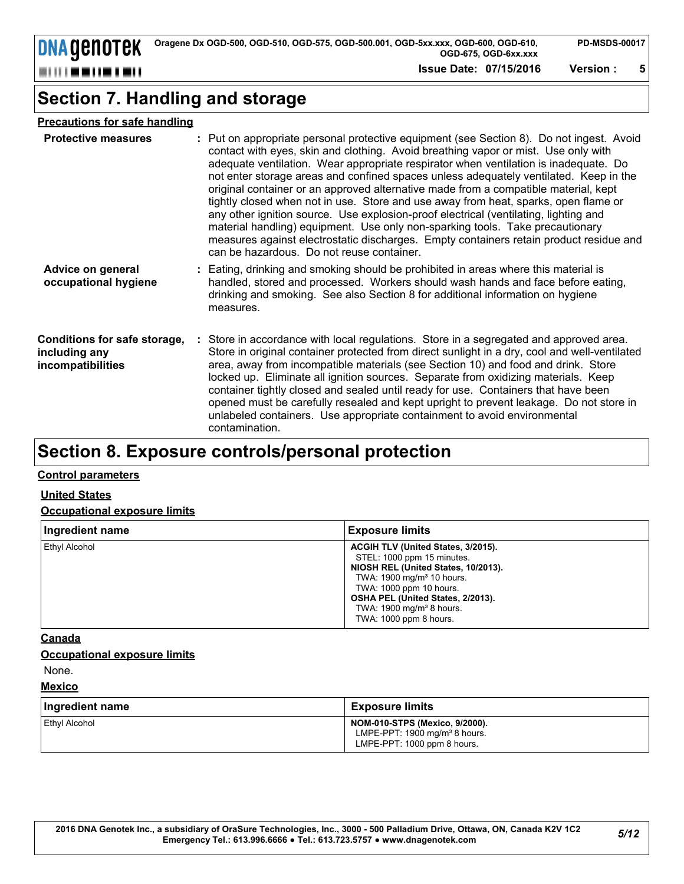**DNA GENOTEK** ---------

**Issue Date: 07/15/2016 Version : 5**

### **Section 7. Handling and storage**

#### **Precautions for safe handling**

| <b>Protective measures</b>                                         | : Put on appropriate personal protective equipment (see Section 8). Do not ingest. Avoid<br>contact with eyes, skin and clothing. Avoid breathing vapor or mist. Use only with<br>adequate ventilation. Wear appropriate respirator when ventilation is inadequate. Do<br>not enter storage areas and confined spaces unless adequately ventilated. Keep in the<br>original container or an approved alternative made from a compatible material, kept<br>tightly closed when not in use. Store and use away from heat, sparks, open flame or<br>any other ignition source. Use explosion-proof electrical (ventilating, lighting and<br>material handling) equipment. Use only non-sparking tools. Take precautionary<br>measures against electrostatic discharges. Empty containers retain product residue and<br>can be hazardous. Do not reuse container. |
|--------------------------------------------------------------------|---------------------------------------------------------------------------------------------------------------------------------------------------------------------------------------------------------------------------------------------------------------------------------------------------------------------------------------------------------------------------------------------------------------------------------------------------------------------------------------------------------------------------------------------------------------------------------------------------------------------------------------------------------------------------------------------------------------------------------------------------------------------------------------------------------------------------------------------------------------|
| Advice on general<br>occupational hygiene                          | : Eating, drinking and smoking should be prohibited in areas where this material is<br>handled, stored and processed. Workers should wash hands and face before eating,<br>drinking and smoking. See also Section 8 for additional information on hygiene<br>measures.                                                                                                                                                                                                                                                                                                                                                                                                                                                                                                                                                                                        |
| Conditions for safe storage,<br>including any<br>incompatibilities | : Store in accordance with local regulations. Store in a segregated and approved area.<br>Store in original container protected from direct sunlight in a dry, cool and well-ventilated<br>area, away from incompatible materials (see Section 10) and food and drink. Store<br>locked up. Eliminate all ignition sources. Separate from oxidizing materials. Keep<br>container tightly closed and sealed until ready for use. Containers that have been<br>opened must be carefully resealed and kept upright to prevent leakage. Do not store in<br>unlabeled containers. Use appropriate containment to avoid environmental<br>contamination.                                                                                                                                                                                                              |

# **Section 8. Exposure controls/personal protection**

#### **Control parameters**

#### **United States**

#### **Occupational exposure limits**

| Ingredient name | <b>Exposure limits</b>                                                                                                                                                                                                                                                            |
|-----------------|-----------------------------------------------------------------------------------------------------------------------------------------------------------------------------------------------------------------------------------------------------------------------------------|
| Ethyl Alcohol   | ACGIH TLV (United States, 3/2015).<br>STEL: 1000 ppm 15 minutes.<br>NIOSH REL (United States, 10/2013).<br>TWA: 1900 mg/m <sup>3</sup> 10 hours.<br>TWA: 1000 ppm 10 hours.<br>OSHA PEL (United States, 2/2013).<br>TWA: $1900 \text{ mg/m}^3$ 8 hours.<br>TWA: 1000 ppm 8 hours. |

#### **Canada**

#### **Occupational exposure limits**

None.

| <b>Mexico</b>        |                                                                                                                  |  |
|----------------------|------------------------------------------------------------------------------------------------------------------|--|
| Ingredient name      | <b>Exposure limits</b>                                                                                           |  |
| <b>Ethyl Alcohol</b> | <b>NOM-010-STPS (Mexico, 9/2000).</b><br>LMPE-PPT: $1900 \text{ mg/m}^3$ 8 hours.<br>LMPE-PPT: 1000 ppm 8 hours. |  |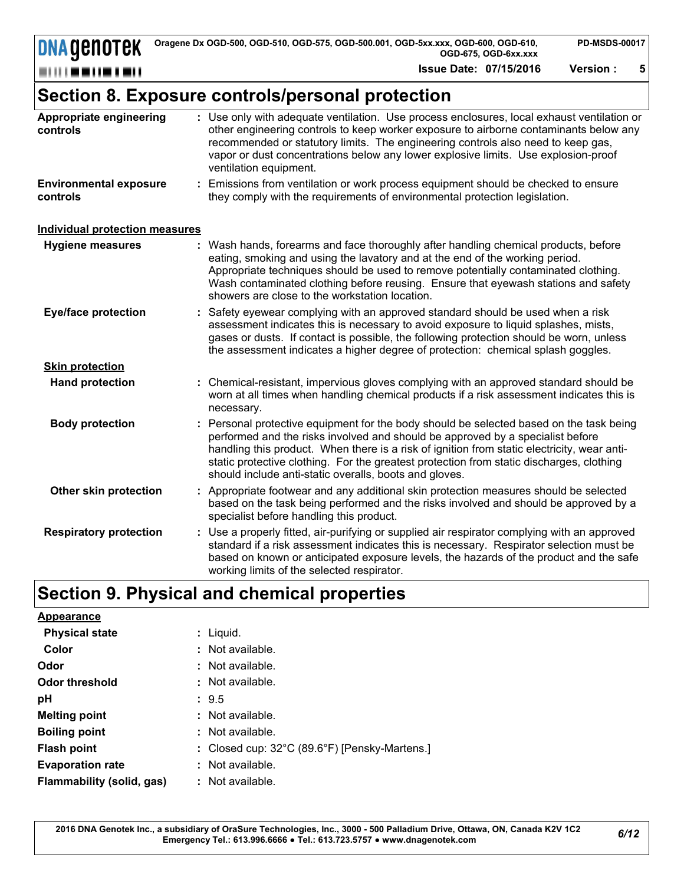**Issue Date: 07/15/2016 Version : 5**

# **Section 8. Exposure controls/personal protection**

| Appropriate engineering<br>controls       | : Use only with adequate ventilation. Use process enclosures, local exhaust ventilation or<br>other engineering controls to keep worker exposure to airborne contaminants below any<br>recommended or statutory limits. The engineering controls also need to keep gas,<br>vapor or dust concentrations below any lower explosive limits. Use explosion-proof<br>ventilation equipment.                                      |
|-------------------------------------------|------------------------------------------------------------------------------------------------------------------------------------------------------------------------------------------------------------------------------------------------------------------------------------------------------------------------------------------------------------------------------------------------------------------------------|
| <b>Environmental exposure</b><br>controls | : Emissions from ventilation or work process equipment should be checked to ensure<br>they comply with the requirements of environmental protection legislation.                                                                                                                                                                                                                                                             |
| <b>Individual protection measures</b>     |                                                                                                                                                                                                                                                                                                                                                                                                                              |
| <b>Hygiene measures</b>                   | : Wash hands, forearms and face thoroughly after handling chemical products, before<br>eating, smoking and using the lavatory and at the end of the working period.<br>Appropriate techniques should be used to remove potentially contaminated clothing.<br>Wash contaminated clothing before reusing. Ensure that eyewash stations and safety<br>showers are close to the workstation location.                            |
| <b>Eye/face protection</b>                | : Safety eyewear complying with an approved standard should be used when a risk<br>assessment indicates this is necessary to avoid exposure to liquid splashes, mists,<br>gases or dusts. If contact is possible, the following protection should be worn, unless<br>the assessment indicates a higher degree of protection: chemical splash goggles.                                                                        |
| <b>Skin protection</b>                    |                                                                                                                                                                                                                                                                                                                                                                                                                              |
| <b>Hand protection</b>                    | : Chemical-resistant, impervious gloves complying with an approved standard should be<br>worn at all times when handling chemical products if a risk assessment indicates this is<br>necessary.                                                                                                                                                                                                                              |
| <b>Body protection</b>                    | Personal protective equipment for the body should be selected based on the task being<br>performed and the risks involved and should be approved by a specialist before<br>handling this product. When there is a risk of ignition from static electricity, wear anti-<br>static protective clothing. For the greatest protection from static discharges, clothing<br>should include anti-static overalls, boots and gloves. |
| Other skin protection                     | : Appropriate footwear and any additional skin protection measures should be selected<br>based on the task being performed and the risks involved and should be approved by a<br>specialist before handling this product.                                                                                                                                                                                                    |
| <b>Respiratory protection</b>             | : Use a properly fitted, air-purifying or supplied air respirator complying with an approved<br>standard if a risk assessment indicates this is necessary. Respirator selection must be<br>based on known or anticipated exposure levels, the hazards of the product and the safe<br>working limits of the selected respirator.                                                                                              |

# **Section 9. Physical and chemical properties**

| Appearance                |                                                         |
|---------------------------|---------------------------------------------------------|
| <b>Physical state</b>     | : Liguid.                                               |
| Color                     | : Not available.                                        |
| Odor                      | $:$ Not available.                                      |
| <b>Odor threshold</b>     | : Not available.                                        |
| рH                        | $\therefore$ 9.5                                        |
| <b>Melting point</b>      | : Not available.                                        |
| <b>Boiling point</b>      | : Not available.                                        |
| <b>Flash point</b>        | : Closed cup: $32^{\circ}$ C (89.6°F) [Pensky-Martens.] |
| <b>Evaporation rate</b>   | : Not available.                                        |
| Flammability (solid, gas) | : Not available.                                        |
|                           |                                                         |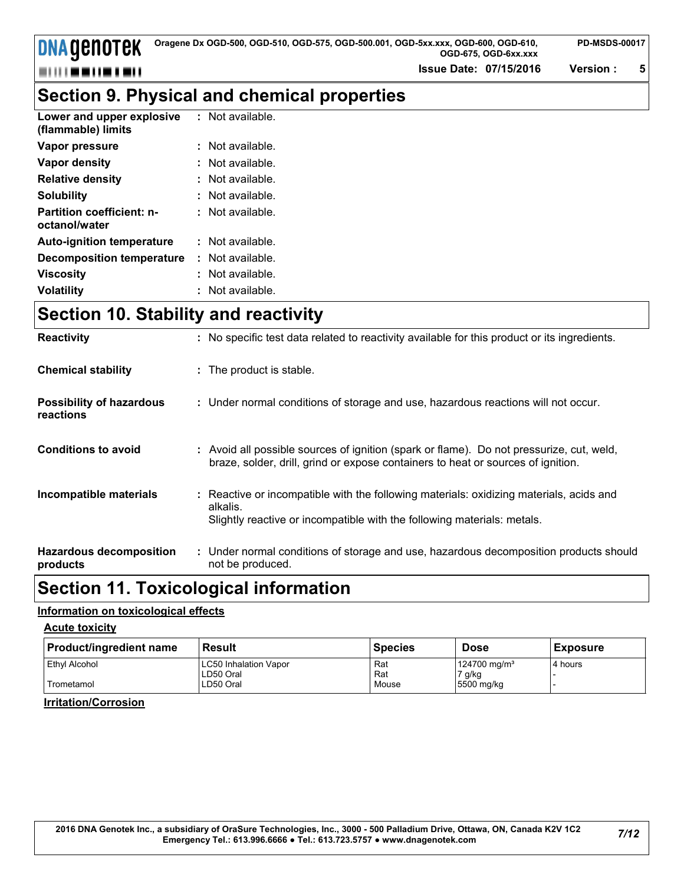**Issue Date: 07/15/2016 Version : 5**

**PD-MSDS-00017**

# **Section 9. Physical and chemical properties**

| Lower and upper explosive<br>(flammable) limits   | : Not available. |
|---------------------------------------------------|------------------|
| Vapor pressure                                    | : Not available. |
| Vapor density                                     | : Not available. |
| <b>Relative density</b>                           | : Not available. |
| <b>Solubility</b>                                 | : Not available. |
| <b>Partition coefficient: n-</b><br>octanol/water | : Not available. |
| <b>Auto-ignition temperature</b>                  | : Not available. |
| <b>Decomposition temperature</b>                  | : Not available. |
| <b>Viscosity</b>                                  | : Not available. |
| <b>Volatility</b>                                 | : Not available. |

# **Section 10. Stability and reactivity**

| <b>Reactivity</b>                            | : No specific test data related to reactivity available for this product or its ingredients.                                                                                   |
|----------------------------------------------|--------------------------------------------------------------------------------------------------------------------------------------------------------------------------------|
| <b>Chemical stability</b>                    | : The product is stable.                                                                                                                                                       |
| <b>Possibility of hazardous</b><br>reactions | : Under normal conditions of storage and use, hazardous reactions will not occur.                                                                                              |
| <b>Conditions to avoid</b>                   | : Avoid all possible sources of ignition (spark or flame). Do not pressurize, cut, weld,<br>braze, solder, drill, grind or expose containers to heat or sources of ignition.   |
| Incompatible materials                       | : Reactive or incompatible with the following materials: oxidizing materials, acids and<br>alkalis.<br>Slightly reactive or incompatible with the following materials: metals. |
| <b>Hazardous decomposition</b><br>products   | : Under normal conditions of storage and use, hazardous decomposition products should<br>not be produced.                                                                      |

### **Section 11. Toxicological information**

#### **Information on toxicological effects**

#### **Acute toxicity**

| <b>Product/ingredient name</b> | Result                | <b>Species</b> | <b>Dose</b>              | <b>Exposure</b> |
|--------------------------------|-----------------------|----------------|--------------------------|-----------------|
| <b>Ethyl Alcohol</b>           | LC50 Inhalation Vapor | Rat            | 124700 mg/m <sup>3</sup> | 4 hours         |
|                                | LD50 Oral             | Rat            | 7 g/kg                   |                 |
| Trometamol                     | LD50 Oral             | Mouse          | 5500 mg/kg               |                 |

#### **Irritation/Corrosion**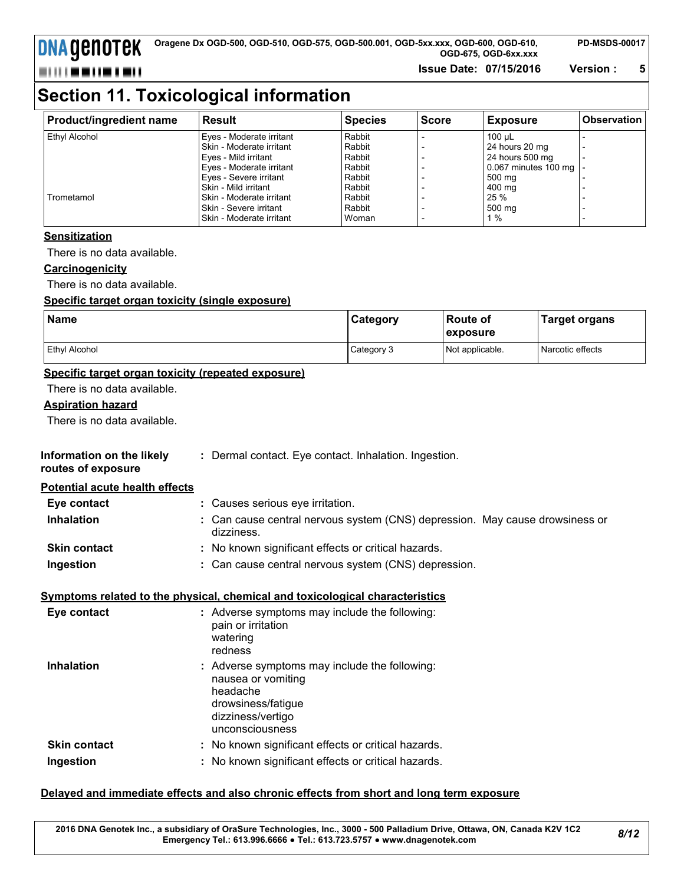**DNA GENOTEK** 

**Issue Date: 07/15/2016 Version : 5**

# **Section 11. Toxicological information**

| Product/ingredient name | Result                     | <b>Species</b> | <b>Score</b> | <b>Exposure</b>      | <b>Observation</b> |
|-------------------------|----------------------------|----------------|--------------|----------------------|--------------------|
| Ethyl Alcohol           | Eves - Moderate irritant   | Rabbit         |              | 100 uL               |                    |
|                         | l Skin - Moderate irritant | Rabbit         |              | 24 hours 20 mg       |                    |
|                         | Eyes - Mild irritant       | Rabbit         |              | 24 hours 500 mg      |                    |
|                         | Eyes - Moderate irritant   | Rabbit         |              | 0.067 minutes 100 mg |                    |
|                         | Eves - Severe irritant     | Rabbit         |              | 500 mg               |                    |
|                         | l Skin - Mild irritant     | Rabbit         |              | 400 mg               |                    |
| Trometamol              | l Skin - Moderate irritant | Rabbit         |              | 25 %                 |                    |
|                         | l Skin - Severe irritant   | Rabbit         |              | 500 mg               |                    |
|                         | I Skin - Moderate irritant | Woman          |              | 1%                   |                    |

#### **Sensitization**

There is no data available.

#### **Carcinogenicity**

There is no data available.

#### **Specific target organ toxicity (single exposure)**

| <b>Name</b>          | <b>Category</b> | ∣Route of<br>exposure | Target organs    |
|----------------------|-----------------|-----------------------|------------------|
| <b>Ethyl Alcohol</b> | Category 3      | Not applicable.       | Narcotic effects |

#### **Specific target organ toxicity (repeated exposure)**

There is no data available.

#### **Aspiration hazard**

There is no data available.

| Information on the likely | Dermal contact. Eye contact. Inhalation. Ingestion. |  |
|---------------------------|-----------------------------------------------------|--|
|---------------------------|-----------------------------------------------------|--|

**routes of exposure**

#### **Potential acute health effects**

| Eye contact         | : Causes serious eye irritation.                     |                                                                              |
|---------------------|------------------------------------------------------|------------------------------------------------------------------------------|
| <b>Inhalation</b>   | dizziness.                                           | : Can cause central nervous system (CNS) depression. May cause drowsiness or |
| <b>Skin contact</b> | : No known significant effects or critical hazards.  |                                                                              |
| Ingestion           | : Can cause central nervous system (CNS) depression. |                                                                              |

#### **Symptoms related to the physical, chemical and toxicological characteristics**

| Eye contact         | : Adverse symptoms may include the following:<br>pain or irritation<br>watering<br>redness                                                    |
|---------------------|-----------------------------------------------------------------------------------------------------------------------------------------------|
| <b>Inhalation</b>   | : Adverse symptoms may include the following:<br>nausea or vomiting<br>headache<br>drowsiness/fatigue<br>dizziness/vertigo<br>unconsciousness |
| <b>Skin contact</b> | : No known significant effects or critical hazards.                                                                                           |
| Ingestion           | : No known significant effects or critical hazards.                                                                                           |

#### **Delayed and immediate effects and also chronic effects from short and long term exposure**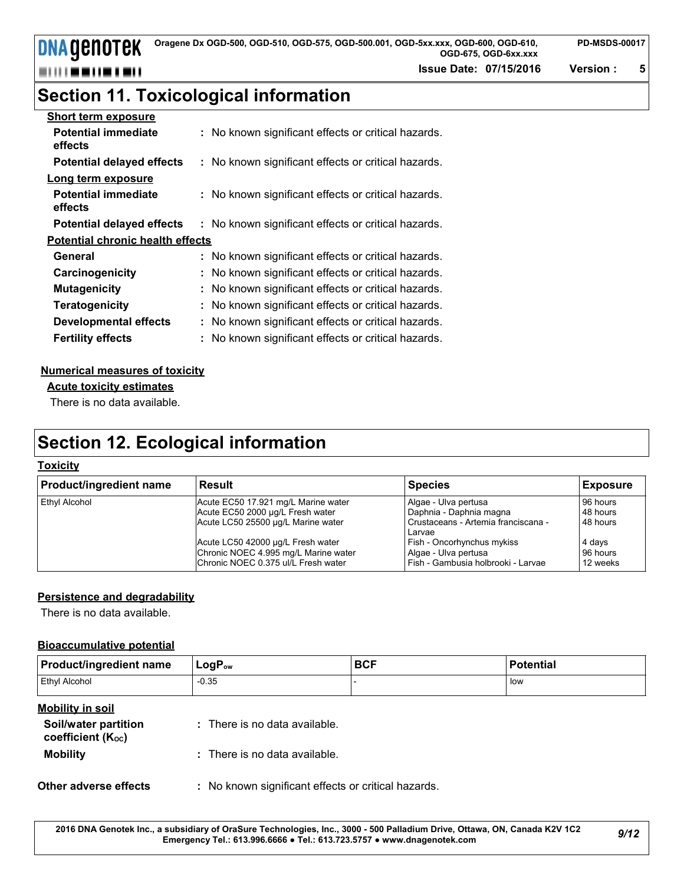**DNA GENOTEK** 

**Issue Date: 07/15/2016 Version : 5**

# **Section 11. Toxicological information**

| <b>Short term exposure</b>              |                                                     |  |  |  |  |
|-----------------------------------------|-----------------------------------------------------|--|--|--|--|
| <b>Potential immediate</b><br>effects   | : No known significant effects or critical hazards. |  |  |  |  |
| <b>Potential delayed effects</b>        | : No known significant effects or critical hazards. |  |  |  |  |
| Long term exposure                      |                                                     |  |  |  |  |
| <b>Potential immediate</b><br>effects   | : No known significant effects or critical hazards. |  |  |  |  |
| <b>Potential delayed effects</b>        | : No known significant effects or critical hazards. |  |  |  |  |
| <b>Potential chronic health effects</b> |                                                     |  |  |  |  |
| General                                 | : No known significant effects or critical hazards. |  |  |  |  |
| Carcinogenicity                         | : No known significant effects or critical hazards. |  |  |  |  |
| <b>Mutagenicity</b>                     | : No known significant effects or critical hazards. |  |  |  |  |
| <b>Teratogenicity</b>                   | : No known significant effects or critical hazards. |  |  |  |  |
| <b>Developmental effects</b>            | : No known significant effects or critical hazards. |  |  |  |  |
| <b>Fertility effects</b>                | : No known significant effects or critical hazards. |  |  |  |  |

#### **Numerical measures of toxicity**

#### **Acute toxicity estimates**

There is no data available.

# **Section 12. Ecological information**

#### **Toxicity**

| <b>Product/ingredient name</b> | Result                               | <b>Species</b>                      | Exposure |
|--------------------------------|--------------------------------------|-------------------------------------|----------|
| <b>Ethyl Alcohol</b>           | Acute EC50 17.921 mg/L Marine water  | Algae - Ulva pertusa                | 96 hours |
|                                | Acute EC50 2000 µg/L Fresh water     | Daphnia - Daphnia magna             | 48 hours |
|                                | Acute LC50 25500 µg/L Marine water   | Crustaceans - Artemia franciscana - | 48 hours |
|                                |                                      | Larvae                              |          |
|                                | Acute LC50 42000 µg/L Fresh water    | Fish - Oncorhynchus mykiss          | 4 days   |
|                                | Chronic NOEC 4.995 mg/L Marine water | Algae - Ulva pertusa                | 96 hours |
|                                | Chronic NOEC 0.375 ul/L Fresh water  | Fish - Gambusia holbrooki - Larvae  | 12 weeks |

#### **Persistence and degradability**

There is no data available.

#### **Bioaccumulative potential**

| <b>Product/ingredient name</b> | $LogP_{ow}$ | <b>BCF</b> | <b>Potential</b> |
|--------------------------------|-------------|------------|------------------|
| Ethyl Alcohol                  | $-0.35$     |            | low              |

#### **Mobility in soil**

| Soil/water partition<br>coefficient (K <sub>oc</sub> ) | : There is no data available. |
|--------------------------------------------------------|-------------------------------|
| <b>Mobility</b>                                        | : There is no data available. |

#### **Other adverse effects** : No known significant effects or critical hazards.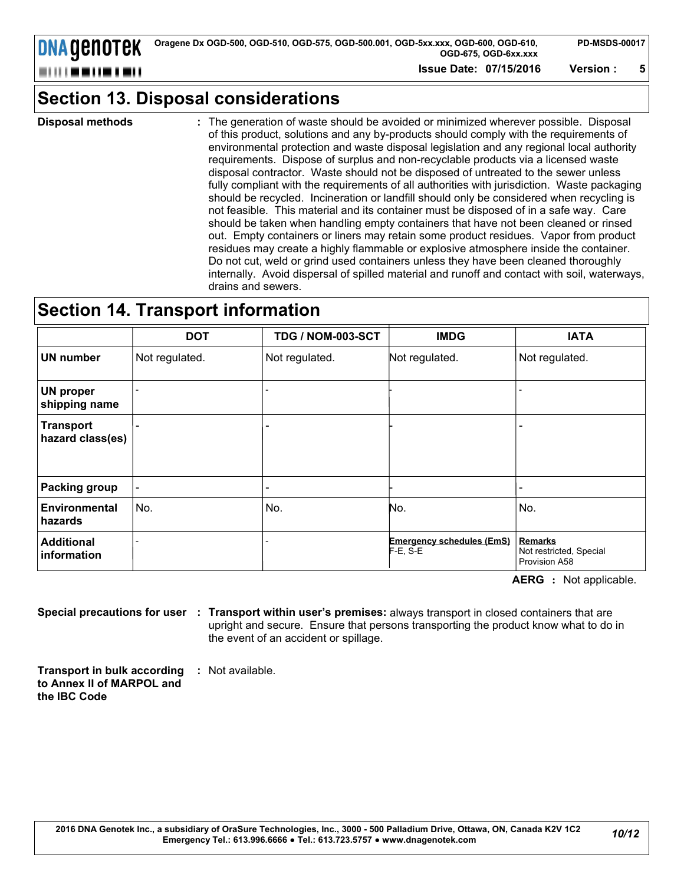| Oragene Dx OGD-500, OGD-510, OGD-575, OGD-500.001, OGD-5xx.xxx, OGD-600, OGD-610, | <b>PD-MSDS</b> |
|-----------------------------------------------------------------------------------|----------------|
| OGD-675. OGD-6xx.xxx                                                              |                |
| ----------                                                                        |                |

### **Section 13. Disposal considerations**

**Disposal methods :**

**DNA GENOTEK** 

---------

The generation of waste should be avoided or minimized wherever possible. Disposal of this product, solutions and any by-products should comply with the requirements of environmental protection and waste disposal legislation and any regional local authority requirements. Dispose of surplus and non-recyclable products via a licensed waste disposal contractor. Waste should not be disposed of untreated to the sewer unless fully compliant with the requirements of all authorities with jurisdiction. Waste packaging should be recycled. Incineration or landfill should only be considered when recycling is not feasible. This material and its container must be disposed of in a safe way. Care should be taken when handling empty containers that have not been cleaned or rinsed out. Empty containers or liners may retain some product residues. Vapor from product residues may create a highly flammable or explosive atmosphere inside the container. Do not cut, weld or grind used containers unless they have been cleaned thoroughly internally. Avoid dispersal of spilled material and runoff and contact with soil, waterways, drains and sewers.

### **Section 14. Transport information**

|                                      | <b>DOT</b>     | TDG / NOM-003-SCT        | <b>IMDG</b>                                     | <b>IATA</b>                                         |
|--------------------------------------|----------------|--------------------------|-------------------------------------------------|-----------------------------------------------------|
| <b>UN number</b>                     | Not regulated. | Not regulated.           | Not regulated.                                  | Not regulated.                                      |
| <b>UN proper</b><br>shipping name    |                |                          |                                                 |                                                     |
| <b>Transport</b><br>hazard class(es) |                | $\overline{\phantom{0}}$ |                                                 |                                                     |
| <b>Packing group</b>                 |                | -                        |                                                 |                                                     |
| <b>Environmental</b><br>hazards      | No.            | No.                      | No.                                             | No.                                                 |
| <b>Additional</b><br>information     |                | -                        | <b>Emergency schedules (EmS)</b><br>$F-E$ , S-E | Remarks<br>Not restricted, Special<br>Provision A58 |

**AERG :** Not applicable.

**Special precautions for user Transport within user's premises:** always transport in closed containers that are **:** upright and secure. Ensure that persons transporting the product know what to do in the event of an accident or spillage.

**Transport in bulk according to Annex II of MARPOL and the IBC Code :** Not available.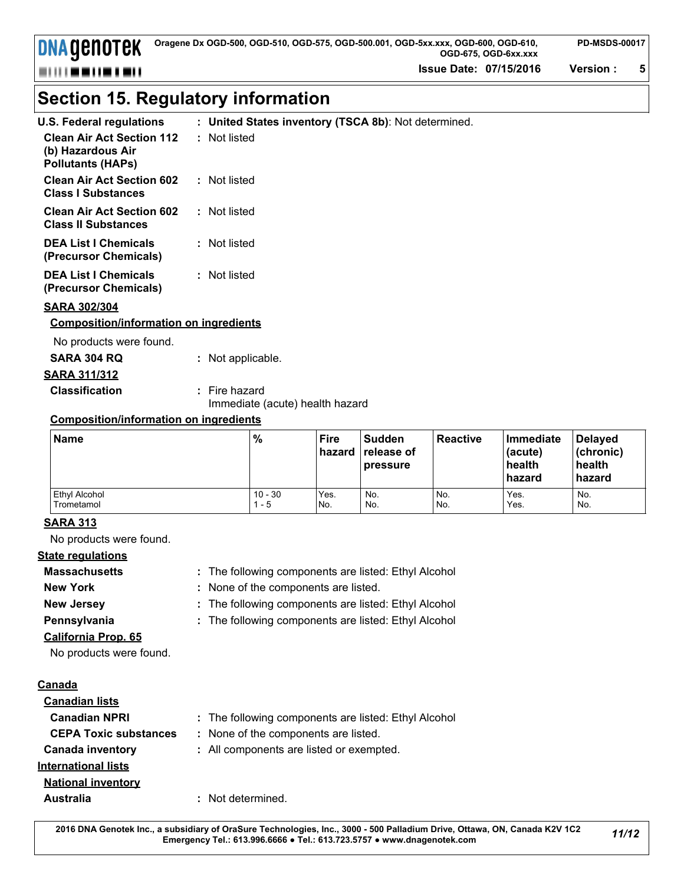**Issue Date: 07/15/2016 Version : 5**

# **Section 15. Regulatory information**

| <b>U.S. Federal regulations</b>                                                   | : United States inventory (TSCA 8b): Not determined. |
|-----------------------------------------------------------------------------------|------------------------------------------------------|
| <b>Clean Air Act Section 112</b><br>(b) Hazardous Air<br><b>Pollutants (HAPs)</b> | : Not listed                                         |
| <b>Clean Air Act Section 602</b><br><b>Class I Substances</b>                     | : Not listed                                         |
| <b>Clean Air Act Section 602</b><br><b>Class II Substances</b>                    | : Not listed                                         |
| <b>DEA List I Chemicals</b><br>(Precursor Chemicals)                              | : Not listed                                         |
| <b>DEA List I Chemicals</b><br>(Precursor Chemicals)                              | : Not listed                                         |
| <b>CADA 2001204</b>                                                               |                                                      |

#### **SARA 302/304**

**DNA GENOTEK** 

,,,,,,,,,,,,,,

#### **Composition/information on ingredients**

No products were found.

| SARA 304 RQ           | : Not applicable. |
|-----------------------|-------------------|
| SARA 311/312          |                   |
| <b>Classification</b> | : Fire hazard     |

Immediate (acute) health hazard

#### **Composition/information on ingredients**

| <b>Name</b>   | %         | <b>Fire</b><br>hazard | <b>Sudden</b><br>l ⊺release of<br>pressure | <b>Reactive</b> | Immediate<br>(acute)<br>health<br>l hazard | <b>Delayed</b><br>l (chronic)<br>health<br>hazard |
|---------------|-----------|-----------------------|--------------------------------------------|-----------------|--------------------------------------------|---------------------------------------------------|
| Ethyl Alcohol | $10 - 30$ | Yes.                  | No.                                        | No.             | Yes.                                       | No.                                               |
| Trometamol    | - 5       | No.                   | No.                                        | No.             | Yes.                                       | No.                                               |

#### **SARA 313**

No products were found.

#### **State regulations**

**Massachusetts**

- The following components are listed: Ethyl Alcohol **:**
- 
- **New York :** None of the components are listed.
- 
- **New Jersey :** The following components are listed: Ethyl Alcohol
- **Pennsylvania :** The following components are listed: Ethyl Alcohol
- **California Prop. 65**

No products were found.

#### **Canada**

| <b>Canadian lists</b>        |                                                      |
|------------------------------|------------------------------------------------------|
| <b>Canadian NPRI</b>         | : The following components are listed: Ethyl Alcohol |
| <b>CEPA Toxic substances</b> | : None of the components are listed.                 |
| <b>Canada inventory</b>      | : All components are listed or exempted.             |
| <b>International lists</b>   |                                                      |
| <b>National inventory</b>    |                                                      |
| Australia                    | : Not determined.                                    |